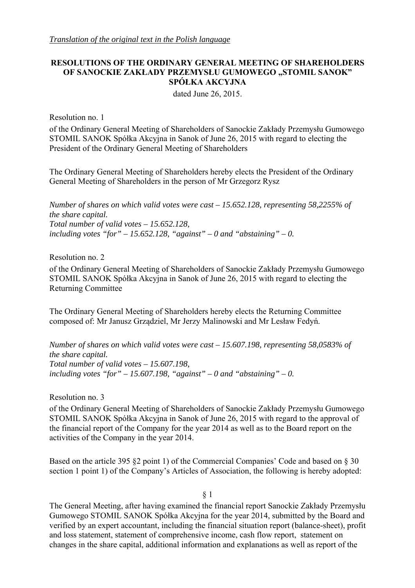# **RESOLUTIONS OF THE ORDINARY GENERAL MEETING OF SHAREHOLDERS OF SANOCKIE ZAKŁADY PRZEMYSŁU GUMOWEGO "STOMIL SANOK" SPÓŁKA AKCYJNA**

dated June 26, 2015.

Resolution no. 1

of the Ordinary General Meeting of Shareholders of Sanockie Zakłady Przemysłu Gumowego STOMIL SANOK Spółka Akcyjna in Sanok of June 26, 2015 with regard to electing the President of the Ordinary General Meeting of Shareholders

The Ordinary General Meeting of Shareholders hereby elects the President of the Ordinary General Meeting of Shareholders in the person of Mr Grzegorz Rysz

*Number of shares on which valid votes were cast – 15.652.128, representing 58,2255% of the share capital. Total number of valid votes – 15.652.128,*  including votes "for"  $-15.652.128$ , "against"  $-0$  and "abstaining"  $-0$ .

Resolution no. 2

of the Ordinary General Meeting of Shareholders of Sanockie Zakłady Przemysłu Gumowego STOMIL SANOK Spółka Akcyjna in Sanok of June 26, 2015 with regard to electing the Returning Committee

The Ordinary General Meeting of Shareholders hereby elects the Returning Committee composed of: Mr Janusz Grządziel, Mr Jerzy Malinowski and Mr Lesław Fedyń.

*Number of shares on which valid votes were cast – 15.607.198, representing 58,0583% of the share capital. Total number of valid votes – 15.607.198,*  including votes "for"  $-15.607.198$ , "against"  $-0$  and "abstaining"  $-0$ .

Resolution no. 3

of the Ordinary General Meeting of Shareholders of Sanockie Zakłady Przemysłu Gumowego STOMIL SANOK Spółka Akcyjna in Sanok of June 26, 2015 with regard to the approval of the financial report of the Company for the year 2014 as well as to the Board report on the activities of the Company in the year 2014.

Based on the article 395 §2 point 1) of the Commercial Companies' Code and based on § 30 section 1 point 1) of the Company's Articles of Association, the following is hereby adopted:

§ 1

The General Meeting, after having examined the financial report Sanockie Zakłady Przemysłu Gumowego STOMIL SANOK Spółka Akcyjna for the year 2014, submitted by the Board and verified by an expert accountant, including the financial situation report (balance-sheet), profit and loss statement, statement of comprehensive income, cash flow report, statement on changes in the share capital, additional information and explanations as well as report of the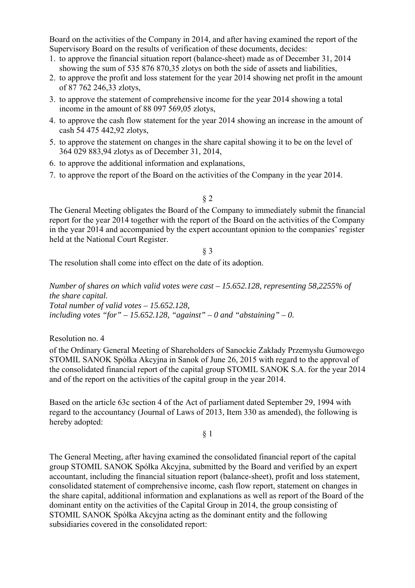Board on the activities of the Company in 2014, and after having examined the report of the Supervisory Board on the results of verification of these documents, decides:

- 1. to approve the financial situation report (balance-sheet) made as of December 31, 2014 showing the sum of 535 876 870,35 zlotys on both the side of assets and liabilities,
- 2. to approve the profit and loss statement for the year 2014 showing net profit in the amount of 87 762 246,33 zlotys,
- 3. to approve the statement of comprehensive income for the year 2014 showing a total income in the amount of 88 097 569,05 zlotys,
- 4. to approve the cash flow statement for the year 2014 showing an increase in the amount of cash 54 475 442,92 zlotys,
- 5. to approve the statement on changes in the share capital showing it to be on the level of 364 029 883,94 zlotys as of December 31, 2014,
- 6. to approve the additional information and explanations,
- 7. to approve the report of the Board on the activities of the Company in the year 2014.

# § 2

The General Meeting obligates the Board of the Company to immediately submit the financial report for the year 2014 together with the report of the Board on the activities of the Company in the year 2014 and accompanied by the expert accountant opinion to the companies' register held at the National Court Register.

# § 3

The resolution shall come into effect on the date of its adoption.

*Number of shares on which valid votes were cast – 15.652.128, representing 58,2255% of the share capital. Total number of valid votes – 15.652.128,*  including votes "for"  $-15.652.128$ , "against"  $-0$  and "abstaining"  $-0$ .

Resolution no. 4

of the Ordinary General Meeting of Shareholders of Sanockie Zakłady Przemysłu Gumowego STOMIL SANOK Spółka Akcyjna in Sanok of June 26, 2015 with regard to the approval of the consolidated financial report of the capital group STOMIL SANOK S.A. for the year 2014 and of the report on the activities of the capital group in the year 2014.

Based on the article 63c section 4 of the Act of parliament dated September 29, 1994 with regard to the accountancy (Journal of Laws of 2013, Item 330 as amended), the following is hereby adopted:

# § 1

The General Meeting, after having examined the consolidated financial report of the capital group STOMIL SANOK Spółka Akcyjna, submitted by the Board and verified by an expert accountant, including the financial situation report (balance-sheet), profit and loss statement, consolidated statement of comprehensive income, cash flow report, statement on changes in the share capital, additional information and explanations as well as report of the Board of the dominant entity on the activities of the Capital Group in 2014, the group consisting of STOMIL SANOK Spółka Akcyjna acting as the dominant entity and the following subsidiaries covered in the consolidated report: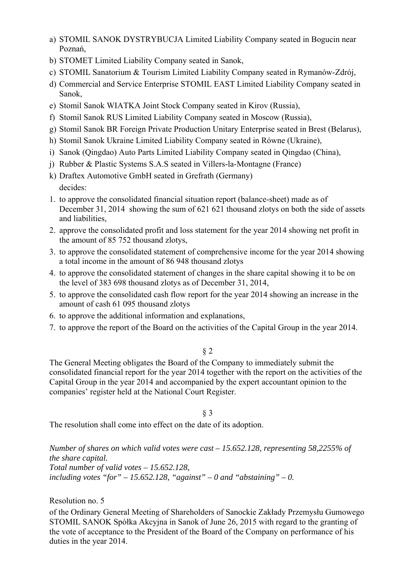- a) STOMIL SANOK DYSTRYBUCJA Limited Liability Company seated in Bogucin near Poznań,
- b) STOMET Limited Liability Company seated in Sanok,
- c) STOMIL Sanatorium & Tourism Limited Liability Company seated in Rymanów-Zdrój,
- d) Commercial and Service Enterprise STOMIL EAST Limited Liability Company seated in Sanok,
- e) Stomil Sanok WIATKA Joint Stock Company seated in Kirov (Russia),
- f) Stomil Sanok RUS Limited Liability Company seated in Moscow (Russia),
- g) Stomil Sanok BR Foreign Private Production Unitary Enterprise seated in Brest (Belarus),
- h) Stomil Sanok Ukraine Limited Liability Company seated in Równe (Ukraine),
- i) Sanok (Qingdao) Auto Parts Limited Liability Company seated in Qingdao (China),
- j) Rubber & Plastic Systems S.A.S seated in Villers-la-Montagne (France)
- k) Draftex Automotive GmbH seated in Grefrath (Germany) decides:
- 1. to approve the consolidated financial situation report (balance-sheet) made as of December 31, 2014 showing the sum of 621 621 thousand zlotys on both the side of assets and liabilities,
- 2. approve the consolidated profit and loss statement for the year 2014 showing net profit in the amount of 85 752 thousand zlotys,
- 3. to approve the consolidated statement of comprehensive income for the year 2014 showing a total income in the amount of 86 948 thousand zlotys
- 4. to approve the consolidated statement of changes in the share capital showing it to be on the level of 383 698 thousand zlotys as of December 31, 2014,
- 5. to approve the consolidated cash flow report for the year 2014 showing an increase in the amount of cash 61 095 thousand zlotys
- 6. to approve the additional information and explanations,
- 7. to approve the report of the Board on the activities of the Capital Group in the year 2014.

The General Meeting obligates the Board of the Company to immediately submit the consolidated financial report for the year 2014 together with the report on the activities of the Capital Group in the year 2014 and accompanied by the expert accountant opinion to the companies' register held at the National Court Register.

§ 3

The resolution shall come into effect on the date of its adoption.

*Number of shares on which valid votes were cast – 15.652.128, representing 58,2255% of the share capital. Total number of valid votes – 15.652.128,*  including votes "for"  $-15.652.128$ , "against"  $-0$  and "abstaining"  $-0$ .

Resolution no. 5

of the Ordinary General Meeting of Shareholders of Sanockie Zakłady Przemysłu Gumowego STOMIL SANOK Spółka Akcyjna in Sanok of June 26, 2015 with regard to the granting of the vote of acceptance to the President of the Board of the Company on performance of his duties in the year 2014.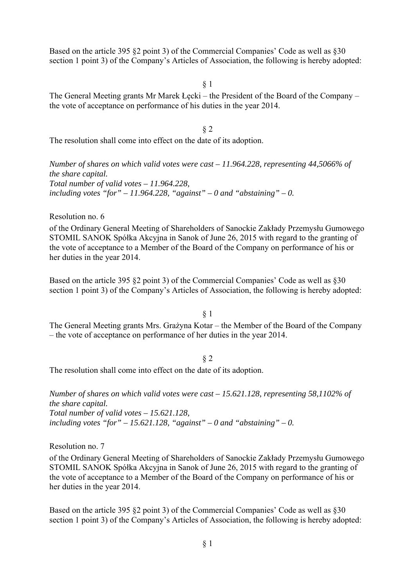Based on the article 395 §2 point 3) of the Commercial Companies' Code as well as §30 section 1 point 3) of the Company's Articles of Association, the following is hereby adopted:

§ 1

The General Meeting grants Mr Marek Łecki – the President of the Board of the Company – the vote of acceptance on performance of his duties in the year 2014.

§ 2

The resolution shall come into effect on the date of its adoption.

*Number of shares on which valid votes were cast – 11.964.228, representing 44,5066% of the share capital. Total number of valid votes – 11.964.228,*  including votes "for" – 11.964.228, "against" – 0 and "abstaining" – 0.

Resolution no. 6

of the Ordinary General Meeting of Shareholders of Sanockie Zakłady Przemysłu Gumowego STOMIL SANOK Spółka Akcyjna in Sanok of June 26, 2015 with regard to the granting of the vote of acceptance to a Member of the Board of the Company on performance of his or her duties in the year 2014.

Based on the article 395 §2 point 3) of the Commercial Companies' Code as well as §30 section 1 point 3) of the Company's Articles of Association, the following is hereby adopted:

§ 1

The General Meeting grants Mrs. Grażyna Kotar – the Member of the Board of the Company – the vote of acceptance on performance of her duties in the year 2014.

#### § 2

The resolution shall come into effect on the date of its adoption.

*Number of shares on which valid votes were cast – 15.621.128, representing 58,1102% of the share capital. Total number of valid votes – 15.621.128,*  including votes "for"  $-15.621.128$ , "against"  $-0$  and "abstaining"  $-0$ .

Resolution no. 7

of the Ordinary General Meeting of Shareholders of Sanockie Zakłady Przemysłu Gumowego STOMIL SANOK Spółka Akcyjna in Sanok of June 26, 2015 with regard to the granting of the vote of acceptance to a Member of the Board of the Company on performance of his or her duties in the year 2014.

Based on the article 395 §2 point 3) of the Commercial Companies' Code as well as §30 section 1 point 3) of the Company's Articles of Association, the following is hereby adopted: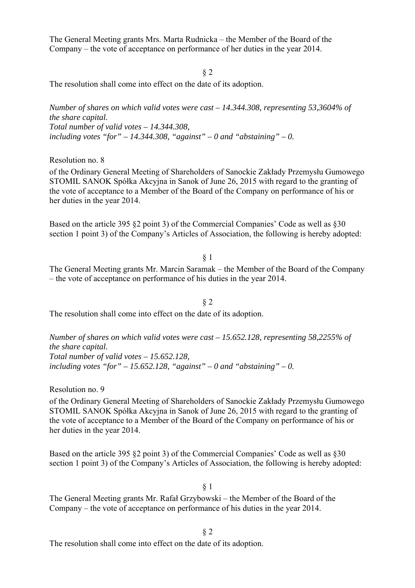The General Meeting grants Mrs. Marta Rudnicka – the Member of the Board of the Company – the vote of acceptance on performance of her duties in the year 2014.

§ 2

The resolution shall come into effect on the date of its adoption.

*Number of shares on which valid votes were cast – 14.344.308, representing 53,3604% of the share capital. Total number of valid votes – 14.344.308,*  including votes "for"  $-14.344.308$ , "against"  $-0$  and "abstaining"  $-0$ .

Resolution no. 8

of the Ordinary General Meeting of Shareholders of Sanockie Zakłady Przemysłu Gumowego STOMIL SANOK Spółka Akcyjna in Sanok of June 26, 2015 with regard to the granting of the vote of acceptance to a Member of the Board of the Company on performance of his or her duties in the year 2014.

Based on the article 395 §2 point 3) of the Commercial Companies' Code as well as §30 section 1 point 3) of the Company's Articles of Association, the following is hereby adopted:

§ 1

The General Meeting grants Mr. Marcin Saramak – the Member of the Board of the Company – the vote of acceptance on performance of his duties in the year 2014.

§ 2 The resolution shall come into effect on the date of its adoption.

*Number of shares on which valid votes were cast – 15.652.128, representing 58,2255% of the share capital. Total number of valid votes – 15.652.128,*  including votes "for"  $-15.652.128$ , "against"  $-0$  and "abstaining"  $-0$ .

Resolution no. 9

of the Ordinary General Meeting of Shareholders of Sanockie Zakłady Przemysłu Gumowego STOMIL SANOK Spółka Akcyjna in Sanok of June 26, 2015 with regard to the granting of the vote of acceptance to a Member of the Board of the Company on performance of his or her duties in the year 2014.

Based on the article 395 §2 point 3) of the Commercial Companies' Code as well as §30 section 1 point 3) of the Company's Articles of Association, the following is hereby adopted:

§ 1

The General Meeting grants Mr. Rafał Grzybowski – the Member of the Board of the Company – the vote of acceptance on performance of his duties in the year 2014.

§ 2

The resolution shall come into effect on the date of its adoption.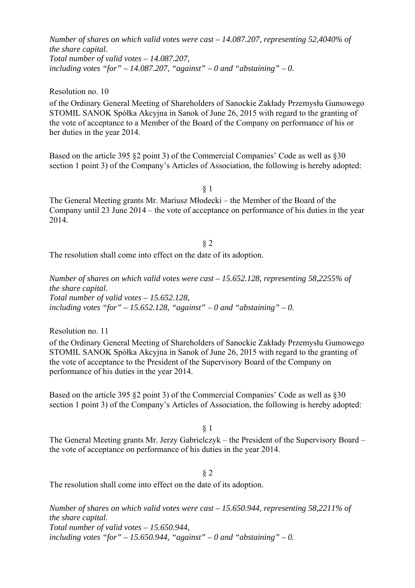*Number of shares on which valid votes were cast – 14.087.207, representing 52,4040% of the share capital. Total number of valid votes – 14.087.207,*  including votes "for"  $- 14.087.207$ , "against"  $- 0$  and "abstaining"  $- 0$ .

Resolution no. 10

of the Ordinary General Meeting of Shareholders of Sanockie Zakłady Przemysłu Gumowego STOMIL SANOK Spółka Akcyjna in Sanok of June 26, 2015 with regard to the granting of the vote of acceptance to a Member of the Board of the Company on performance of his or her duties in the year 2014.

Based on the article 395 §2 point 3) of the Commercial Companies' Code as well as §30 section 1 point 3) of the Company's Articles of Association, the following is hereby adopted:

§ 1

The General Meeting grants Mr. Mariusz Młodecki – the Member of the Board of the Company until 23 June 2014 – the vote of acceptance on performance of his duties in the year 2014.

§ 2 The resolution shall come into effect on the date of its adoption.

*Number of shares on which valid votes were cast – 15.652.128, representing 58,2255% of the share capital. Total number of valid votes – 15.652.128,*  including votes "for"  $-15.652.128$ , "against"  $-0$  and "abstaining"  $-0$ .

Resolution no. 11

of the Ordinary General Meeting of Shareholders of Sanockie Zakłady Przemysłu Gumowego STOMIL SANOK Spółka Akcyjna in Sanok of June 26, 2015 with regard to the granting of the vote of acceptance to the President of the Supervisory Board of the Company on performance of his duties in the year 2014.

Based on the article 395 §2 point 3) of the Commercial Companies' Code as well as §30 section 1 point 3) of the Company's Articles of Association, the following is hereby adopted:

§ 1

The General Meeting grants Mr. Jerzy Gabrielczyk – the President of the Supervisory Board – the vote of acceptance on performance of his duties in the year 2014.

§ 2

The resolution shall come into effect on the date of its adoption.

*Number of shares on which valid votes were cast – 15.650.944, representing 58,2211% of the share capital. Total number of valid votes – 15.650.944,*  including votes "for"  $-15.650.944$ , "against"  $-0$  and "abstaining"  $-0$ .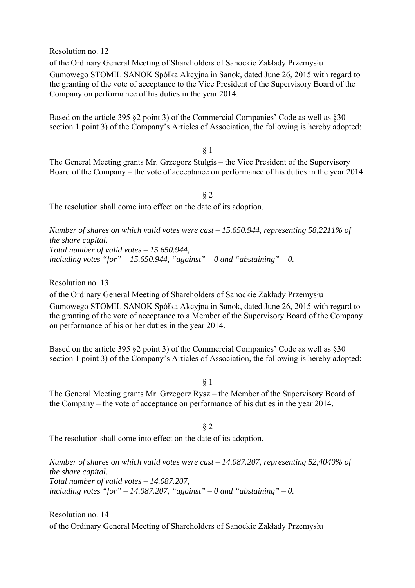Resolution no. 12

of the Ordinary General Meeting of Shareholders of Sanockie Zakłady Przemysłu Gumowego STOMIL SANOK Spółka Akcyjna in Sanok, dated June 26, 2015 with regard to the granting of the vote of acceptance to the Vice President of the Supervisory Board of the Company on performance of his duties in the year 2014.

Based on the article 395 §2 point 3) of the Commercial Companies' Code as well as §30 section 1 point 3) of the Company's Articles of Association, the following is hereby adopted:

§ 1

The General Meeting grants Mr. Grzegorz Stulgis – the Vice President of the Supervisory Board of the Company – the vote of acceptance on performance of his duties in the year 2014.

§ 2 The resolution shall come into effect on the date of its adoption.

*Number of shares on which valid votes were cast – 15.650.944, representing 58,2211% of the share capital. Total number of valid votes – 15.650.944,*  including votes "for"  $-15.650.944$ , "against"  $-0$  and "abstaining"  $-0$ .

Resolution no. 13

of the Ordinary General Meeting of Shareholders of Sanockie Zakłady Przemysłu Gumowego STOMIL SANOK Spółka Akcyjna in Sanok, dated June 26, 2015 with regard to the granting of the vote of acceptance to a Member of the Supervisory Board of the Company on performance of his or her duties in the year 2014.

Based on the article 395 §2 point 3) of the Commercial Companies' Code as well as §30 section 1 point 3) of the Company's Articles of Association, the following is hereby adopted:

§ 1

The General Meeting grants Mr. Grzegorz Rysz – the Member of the Supervisory Board of the Company – the vote of acceptance on performance of his duties in the year 2014.

§ 2

The resolution shall come into effect on the date of its adoption.

*Number of shares on which valid votes were cast – 14.087.207, representing 52,4040% of the share capital. Total number of valid votes – 14.087.207,*  including votes "for"  $-14.087.207$ , "against"  $-0$  and "abstaining"  $-0$ .

Resolution no. 14 of the Ordinary General Meeting of Shareholders of Sanockie Zakłady Przemysłu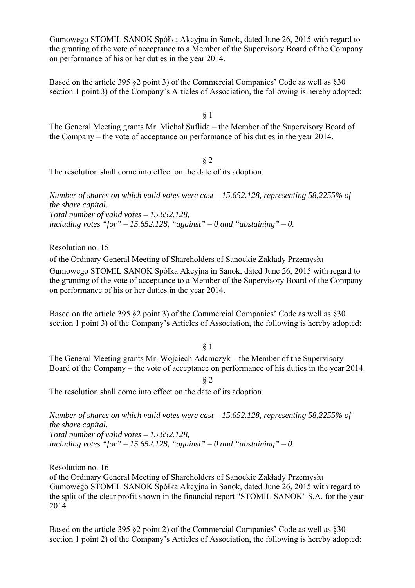Gumowego STOMIL SANOK Spółka Akcyjna in Sanok, dated June 26, 2015 with regard to the granting of the vote of acceptance to a Member of the Supervisory Board of the Company on performance of his or her duties in the year 2014.

Based on the article 395 §2 point 3) of the Commercial Companies' Code as well as §30 section 1 point 3) of the Company's Articles of Association, the following is hereby adopted:

§ 1

The General Meeting grants Mr. Michał Suflida – the Member of the Supervisory Board of the Company – the vote of acceptance on performance of his duties in the year 2014.

§ 2 The resolution shall come into effect on the date of its adoption.

*Number of shares on which valid votes were cast – 15.652.128, representing 58,2255% of the share capital. Total number of valid votes – 15.652.128,*  including votes "for"  $-15.652.128$ , "against"  $-0$  and "abstaining"  $-0$ .

Resolution no. 15

of the Ordinary General Meeting of Shareholders of Sanockie Zakłady Przemysłu Gumowego STOMIL SANOK Spółka Akcyjna in Sanok, dated June 26, 2015 with regard to the granting of the vote of acceptance to a Member of the Supervisory Board of the Company on performance of his or her duties in the year 2014.

Based on the article 395 §2 point 3) of the Commercial Companies' Code as well as §30 section 1 point 3) of the Company's Articles of Association, the following is hereby adopted:

§ 1

The General Meeting grants Mr. Wojciech Adamczyk – the Member of the Supervisory Board of the Company – the vote of acceptance on performance of his duties in the year 2014.

§ 2

The resolution shall come into effect on the date of its adoption.

*Number of shares on which valid votes were cast – 15.652.128, representing 58,2255% of the share capital. Total number of valid votes – 15.652.128,*  including votes "for"  $-15.652.128$ , "against"  $-0$  and "abstaining"  $-0$ .

Resolution no. 16 of the Ordinary General Meeting of Shareholders of Sanockie Zakłady Przemysłu Gumowego STOMIL SANOK Spółka Akcyjna in Sanok, dated June 26, 2015 with regard to the split of the clear profit shown in the financial report "STOMIL SANOK" S.A. for the year 2014

Based on the article 395 §2 point 2) of the Commercial Companies' Code as well as §30 section 1 point 2) of the Company's Articles of Association, the following is hereby adopted: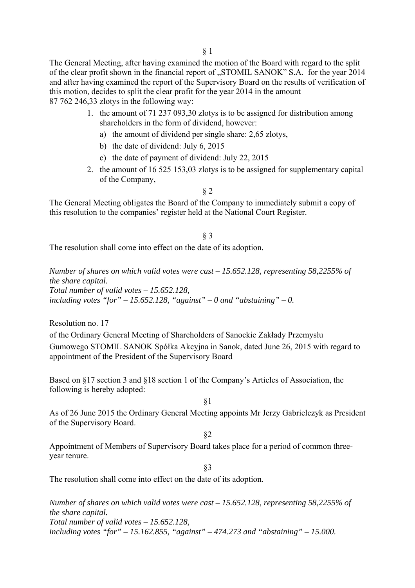The General Meeting, after having examined the motion of the Board with regard to the split of the clear profit shown in the financial report of "STOMIL SANOK" S.A. for the year 2014 and after having examined the report of the Supervisory Board on the results of verification of this motion, decides to split the clear profit for the year 2014 in the amount 87 762 246,33 zlotys in the following way:

- 1. the amount of 71 237 093,30 zlotys is to be assigned for distribution among shareholders in the form of dividend, however:
	- a) the amount of dividend per single share: 2,65 zlotys,
	- b) the date of dividend: July 6, 2015
	- c) the date of payment of dividend: July 22, 2015
- 2. the amount of 16 525 153,03 zlotys is to be assigned for supplementary capital of the Company,

§ 2

The General Meeting obligates the Board of the Company to immediately submit a copy of this resolution to the companies' register held at the National Court Register.

### § 3

The resolution shall come into effect on the date of its adoption.

*Number of shares on which valid votes were cast – 15.652.128, representing 58,2255% of the share capital. Total number of valid votes – 15.652.128,*  including votes "for"  $-15.652.128$ , "against"  $-0$  and "abstaining"  $-0$ .

Resolution no. 17

of the Ordinary General Meeting of Shareholders of Sanockie Zakłady Przemysłu Gumowego STOMIL SANOK Spółka Akcyjna in Sanok, dated June 26, 2015 with regard to appointment of the President of the Supervisory Board

Based on §17 section 3 and §18 section 1 of the Company's Articles of Association, the following is hereby adopted:

§1

As of 26 June 2015 the Ordinary General Meeting appoints Mr Jerzy Gabrielczyk as President of the Supervisory Board.

§2

Appointment of Members of Supervisory Board takes place for a period of common threeyear tenure.

§3

The resolution shall come into effect on the date of its adoption.

*Number of shares on which valid votes were cast – 15.652.128, representing 58,2255% of the share capital. Total number of valid votes – 15.652.128, including votes "for" – 15.162.855, "against" – 474.273 and "abstaining" – 15.000.*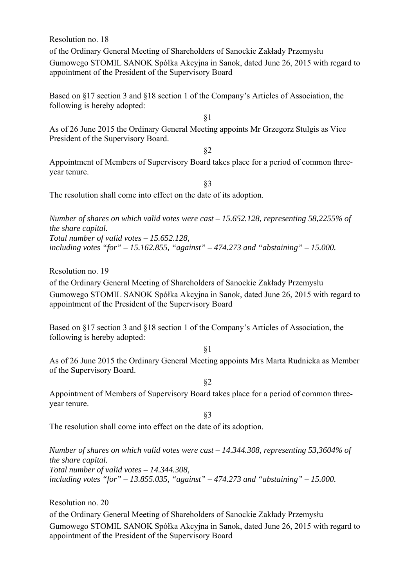Resolution no. 18

of the Ordinary General Meeting of Shareholders of Sanockie Zakłady Przemysłu Gumowego STOMIL SANOK Spółka Akcyjna in Sanok, dated June 26, 2015 with regard to appointment of the President of the Supervisory Board

Based on §17 section 3 and §18 section 1 of the Company's Articles of Association, the following is hereby adopted:

§1

As of 26 June 2015 the Ordinary General Meeting appoints Mr Grzegorz Stulgis as Vice President of the Supervisory Board.

§2

Appointment of Members of Supervisory Board takes place for a period of common threeyear tenure.

§3

The resolution shall come into effect on the date of its adoption.

*Number of shares on which valid votes were cast – 15.652.128, representing 58,2255% of the share capital. Total number of valid votes – 15.652.128, including votes "for" – 15.162.855, "against" – 474.273 and "abstaining" – 15.000.* 

Resolution no. 19

of the Ordinary General Meeting of Shareholders of Sanockie Zakłady Przemysłu Gumowego STOMIL SANOK Spółka Akcyjna in Sanok, dated June 26, 2015 with regard to appointment of the President of the Supervisory Board

Based on §17 section 3 and §18 section 1 of the Company's Articles of Association, the following is hereby adopted:

§1

As of 26 June 2015 the Ordinary General Meeting appoints Mrs Marta Rudnicka as Member of the Supervisory Board.

§2

Appointment of Members of Supervisory Board takes place for a period of common threeyear tenure.

§3

The resolution shall come into effect on the date of its adoption.

*Number of shares on which valid votes were cast – 14.344.308, representing 53,3604% of the share capital. Total number of valid votes – 14.344.308, including votes "for" – 13.855.035, "against" – 474.273 and "abstaining" – 15.000.* 

Resolution no. 20

of the Ordinary General Meeting of Shareholders of Sanockie Zakłady Przemysłu Gumowego STOMIL SANOK Spółka Akcyjna in Sanok, dated June 26, 2015 with regard to appointment of the President of the Supervisory Board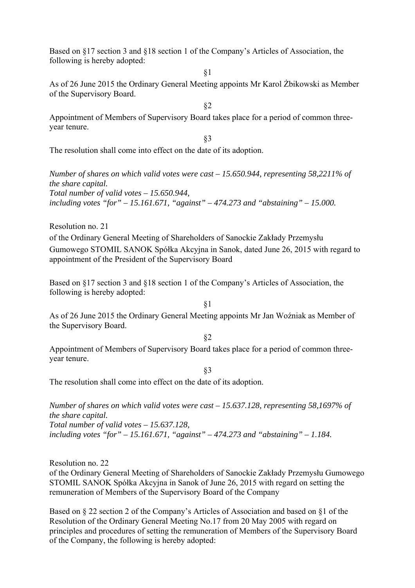Based on §17 section 3 and §18 section 1 of the Company's Articles of Association, the following is hereby adopted:

§1

As of 26 June 2015 the Ordinary General Meeting appoints Mr Karol Żbikowski as Member of the Supervisory Board.

§2

Appointment of Members of Supervisory Board takes place for a period of common threeyear tenure.

§3

The resolution shall come into effect on the date of its adoption.

*Number of shares on which valid votes were cast – 15.650.944, representing 58,2211% of the share capital. Total number of valid votes – 15.650.944, including votes "for" – 15.161.671, "against" – 474.273 and "abstaining" – 15.000.* 

Resolution no. 21

of the Ordinary General Meeting of Shareholders of Sanockie Zakłady Przemysłu Gumowego STOMIL SANOK Spółka Akcyjna in Sanok, dated June 26, 2015 with regard to appointment of the President of the Supervisory Board

Based on §17 section 3 and §18 section 1 of the Company's Articles of Association, the following is hereby adopted:

§1

As of 26 June 2015 the Ordinary General Meeting appoints Mr Jan Woźniak as Member of the Supervisory Board.

§2

Appointment of Members of Supervisory Board takes place for a period of common threeyear tenure.

§3

The resolution shall come into effect on the date of its adoption.

*Number of shares on which valid votes were cast – 15.637.128, representing 58,1697% of the share capital. Total number of valid votes – 15.637.128, including votes "for" – 15.161.671, "against" – 474.273 and "abstaining" – 1.184.* 

Resolution no. 22 of the Ordinary General Meeting of Shareholders of Sanockie Zakłady Przemysłu Gumowego STOMIL SANOK Spółka Akcyjna in Sanok of June 26, 2015 with regard on setting the remuneration of Members of the Supervisory Board of the Company

Based on § 22 section 2 of the Company's Articles of Association and based on §1 of the Resolution of the Ordinary General Meeting No.17 from 20 May 2005 with regard on principles and procedures of setting the remuneration of Members of the Supervisory Board of the Company, the following is hereby adopted: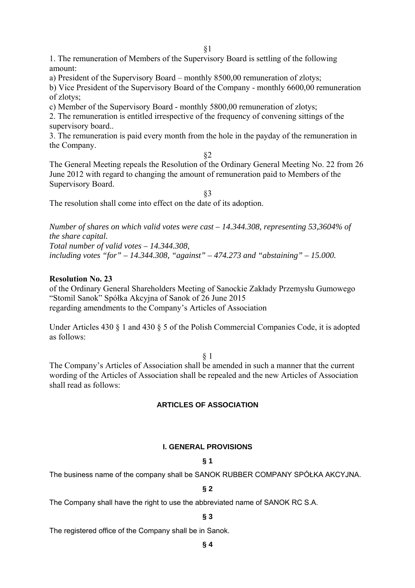1. The remuneration of Members of the Supervisory Board is settling of the following amount:

a) President of the Supervisory Board – monthly 8500,00 remuneration of zlotys;

b) Vice President of the Supervisory Board of the Company - monthly 6600,00 remuneration of zlotys;

c) Member of the Supervisory Board - monthly 5800,00 remuneration of zlotys;

2. The remuneration is entitled irrespective of the frequency of convening sittings of the supervisory board..

3. The remuneration is paid every month from the hole in the payday of the remuneration in the Company.

§2

The General Meeting repeals the Resolution of the Ordinary General Meeting No. 22 from 26 June 2012 with regard to changing the amount of remuneration paid to Members of the Supervisory Board.

§3

The resolution shall come into effect on the date of its adoption.

*Number of shares on which valid votes were cast – 14.344.308, representing 53,3604% of the share capital. Total number of valid votes – 14.344.308,* 

*including votes "for" – 14.344.308, "against" – 474.273 and "abstaining" – 15.000.* 

# **Resolution No. 23**

of the Ordinary General Shareholders Meeting of Sanockie Zakłady Przemysłu Gumowego "Stomil Sanok" Spółka Akcyjna of Sanok of 26 June 2015 regarding amendments to the Company's Articles of Association

Under Articles 430 § 1 and 430 § 5 of the Polish Commercial Companies Code, it is adopted as follows:

# § 1

The Company's Articles of Association shall be amended in such a manner that the current wording of the Articles of Association shall be repealed and the new Articles of Association shall read as follows:

# **ARTICLES OF ASSOCIATION**

# **I. GENERAL PROVISIONS**

# **§ 1**

The business name of the company shall be SANOK RUBBER COMPANY SPÓŁKA AKCYJNA.

# **§ 2**

The Company shall have the right to use the abbreviated name of SANOK RC S.A.

# **§ 3**

The registered office of the Company shall be in Sanok.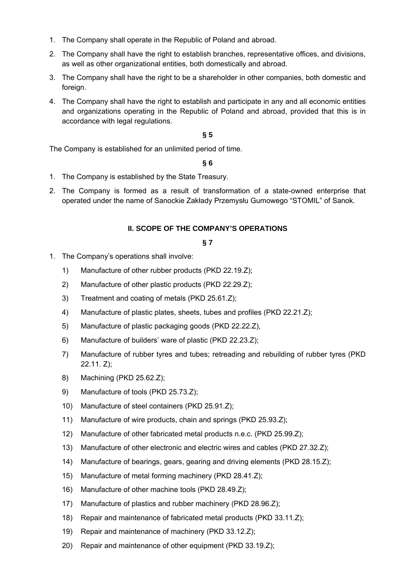- 1. The Company shall operate in the Republic of Poland and abroad.
- 2. The Company shall have the right to establish branches, representative offices, and divisions, as well as other organizational entities, both domestically and abroad.
- 3. The Company shall have the right to be a shareholder in other companies, both domestic and foreign.
- 4. The Company shall have the right to establish and participate in any and all economic entities and organizations operating in the Republic of Poland and abroad, provided that this is in accordance with legal regulations.

The Company is established for an unlimited period of time.

#### **§ 6**

- 1. The Company is established by the State Treasury.
- 2. The Company is formed as a result of transformation of a state-owned enterprise that operated under the name of Sanockie Zakłady Przemysłu Gumowego "STOMIL" of Sanok.

### **II. SCOPE OF THE COMPANY'S OPERATIONS**

- 1. The Company's operations shall involve:
	- 1) Manufacture of other rubber products (PKD 22.19.Z);
	- 2) Manufacture of other plastic products (PKD 22.29.Z);
	- 3) Treatment and coating of metals (PKD 25.61.Z);
	- 4) Manufacture of plastic plates, sheets, tubes and profiles (PKD 22.21.Z);
	- 5) Manufacture of plastic packaging goods (PKD 22.22.Z),
	- 6) Manufacture of builders' ware of plastic (PKD 22.23.Z);
	- 7) Manufacture of rubber tyres and tubes; retreading and rebuilding of rubber tyres (PKD 22.11. Z);
	- 8) Machining (PKD 25.62.Z);
	- 9) Manufacture of tools (PKD 25.73.Z);
	- 10) Manufacture of steel containers (PKD 25.91.Z);
	- 11) Manufacture of wire products, chain and springs (PKD 25.93.Z);
	- 12) Manufacture of other fabricated metal products n.e.c. (PKD 25.99.Z);
	- 13) Manufacture of other electronic and electric wires and cables (PKD 27.32.Z);
	- 14) Manufacture of bearings, gears, gearing and driving elements (PKD 28.15.Z);
	- 15) Manufacture of metal forming machinery (PKD 28.41.Z);
	- 16) Manufacture of other machine tools (PKD 28.49.Z);
	- 17) Manufacture of plastics and rubber machinery (PKD 28.96.Z);
	- 18) Repair and maintenance of fabricated metal products (PKD 33.11.Z);
	- 19) Repair and maintenance of machinery (PKD 33.12.Z);
	- 20) Repair and maintenance of other equipment (PKD 33.19.Z);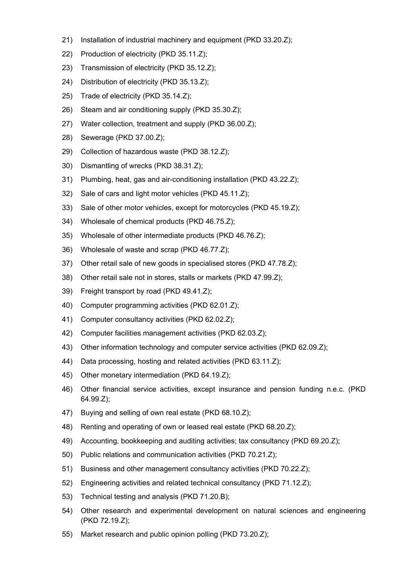- 21) Installation of industrial machinery and equipment (PKD 33.20.Z);
- 22) Production of electricity (PKD 35.11.Z);
- 23) Transmission of electricity (PKD 35.12.Z);
- 24) Distribution of electricity (PKD 35.13.Z);
- 25) Trade of electricity (PKD 35.14.Z);
- 26) Steam and air conditioning supply (PKD 35.30.Z);
- 27) Water collection, treatment and supply (PKD 36.00.Z);
- 28) Sewerage (PKD 37.00.Z);
- 29) Collection of hazardous waste (PKD 38.12.Z);
- 30) Dismantling of wrecks (PKD 38.31.Z);
- 31) Plumbing, heat, gas and air-conditioning installation (PKD 43.22.Z);
- 32) Sale of cars and light motor vehicles (PKD 45.11.Z);
- 33) Sale of other motor vehicles, except for motorcycles (PKD 45.19.Z);
- 34) Wholesale of chemical products (PKD 46.75.Z);
- 35) Wholesale of other intermediate products (PKD 46.76.Z);
- 36) Wholesale of waste and scrap (PKD 46.77.Z);
- 37) Other retail sale of new goods in specialised stores (PKD 47.78.Z);
- 38) Other retail sale not in stores, stalls or markets (PKD 47.99.Z);
- 39) Freight transport by road (PKD 49.41.Z);
- 40) Computer programming activities (PKD 62.01.Z);
- 41) Computer consultancy activities (PKD 62.02.Z);
- 42) Computer facilities management activities (PKD 62.03.Z);
- 43) Other information technology and computer service activities (PKD 62.09.Z);
- 44) Data processing, hosting and related activities (PKD 63.11.Z);
- 45) Other monetary intermediation (PKD 64.19.Z);
- 46) Other financial service activities, except insurance and pension funding n.e.c. (PKD 64.99.Z);
- 47) Buying and selling of own real estate (PKD 68.10.Z);
- 48) Renting and operating of own or leased real estate (PKD 68.20.Z);
- 49) Accounting, bookkeeping and auditing activities; tax consultancy (PKD 69.20.Z);
- 50) Public relations and communication activities (PKD 70.21.Z);
- 51) Business and other management consultancy activities (PKD 70.22.Z);
- 52) Engineering activities and related technical consultancy (PKD 71.12.Z);
- 53) Technical testing and analysis (PKD 71.20.B);
- 54) Other research and experimental development on natural sciences and engineering (PKD 72.19.Z);
- 55) Market research and public opinion polling (PKD 73.20.Z);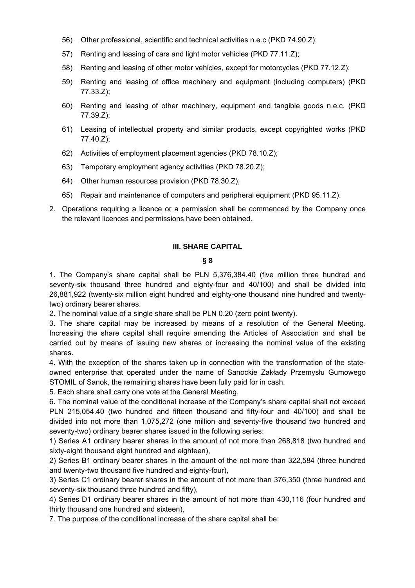- 56) Other professional, scientific and technical activities n.e.c (PKD 74.90.Z);
- 57) Renting and leasing of cars and light motor vehicles (PKD 77.11.Z);
- 58) Renting and leasing of other motor vehicles, except for motorcycles (PKD 77.12.Z);
- 59) Renting and leasing of office machinery and equipment (including computers) (PKD 77.33.Z);
- 60) Renting and leasing of other machinery, equipment and tangible goods n.e.c. (PKD 77.39.Z);
- 61) Leasing of intellectual property and similar products, except copyrighted works (PKD 77.40.Z);
- 62) Activities of employment placement agencies (PKD 78.10.Z);
- 63) Temporary employment agency activities (PKD 78.20.Z);
- 64) Other human resources provision (PKD 78.30.Z);
- 65) Repair and maintenance of computers and peripheral equipment (PKD 95.11.Z).
- 2. Operations requiring a licence or a permission shall be commenced by the Company once the relevant licences and permissions have been obtained.

### **III. SHARE CAPITAL**

### **§ 8**

1. The Company's share capital shall be PLN 5,376,384.40 (five million three hundred and seventy-six thousand three hundred and eighty-four and 40/100) and shall be divided into 26,881,922 (twenty-six million eight hundred and eighty-one thousand nine hundred and twentytwo) ordinary bearer shares.

2. The nominal value of a single share shall be PLN 0.20 (zero point twenty).

3. The share capital may be increased by means of a resolution of the General Meeting. Increasing the share capital shall require amending the Articles of Association and shall be carried out by means of issuing new shares or increasing the nominal value of the existing shares.

4. With the exception of the shares taken up in connection with the transformation of the stateowned enterprise that operated under the name of Sanockie Zakłady Przemysłu Gumowego STOMIL of Sanok, the remaining shares have been fully paid for in cash.

5. Each share shall carry one vote at the General Meeting.

6. The nominal value of the conditional increase of the Company's share capital shall not exceed PLN 215,054.40 (two hundred and fifteen thousand and fifty-four and 40/100) and shall be divided into not more than 1,075,272 (one million and seventy-five thousand two hundred and seventy-two) ordinary bearer shares issued in the following series:

1) Series A1 ordinary bearer shares in the amount of not more than 268,818 (two hundred and sixty-eight thousand eight hundred and eighteen),

2) Series B1 ordinary bearer shares in the amount of the not more than 322,584 (three hundred and twenty-two thousand five hundred and eighty-four),

3) Series C1 ordinary bearer shares in the amount of not more than 376,350 (three hundred and seventy-six thousand three hundred and fifty),

4) Series D1 ordinary bearer shares in the amount of not more than 430,116 (four hundred and thirty thousand one hundred and sixteen),

7. The purpose of the conditional increase of the share capital shall be: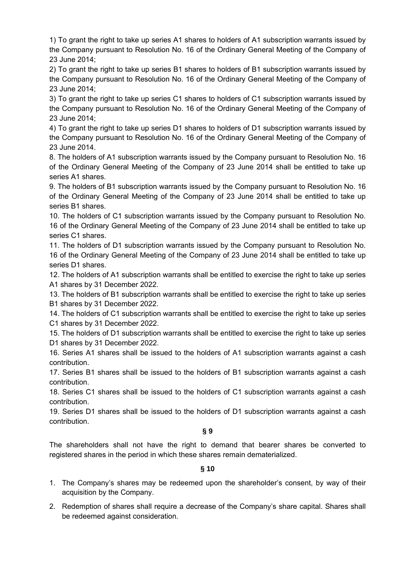1) To grant the right to take up series A1 shares to holders of A1 subscription warrants issued by the Company pursuant to Resolution No. 16 of the Ordinary General Meeting of the Company of 23 June 2014;

2) To grant the right to take up series B1 shares to holders of B1 subscription warrants issued by the Company pursuant to Resolution No. 16 of the Ordinary General Meeting of the Company of 23 June 2014;

3) To grant the right to take up series C1 shares to holders of C1 subscription warrants issued by the Company pursuant to Resolution No. 16 of the Ordinary General Meeting of the Company of 23 June 2014;

4) To grant the right to take up series D1 shares to holders of D1 subscription warrants issued by the Company pursuant to Resolution No. 16 of the Ordinary General Meeting of the Company of 23 June 2014.

8. The holders of A1 subscription warrants issued by the Company pursuant to Resolution No. 16 of the Ordinary General Meeting of the Company of 23 June 2014 shall be entitled to take up series A1 shares.

9. The holders of B1 subscription warrants issued by the Company pursuant to Resolution No. 16 of the Ordinary General Meeting of the Company of 23 June 2014 shall be entitled to take up series B1 shares.

10. The holders of C1 subscription warrants issued by the Company pursuant to Resolution No. 16 of the Ordinary General Meeting of the Company of 23 June 2014 shall be entitled to take up series C1 shares.

11. The holders of D1 subscription warrants issued by the Company pursuant to Resolution No. 16 of the Ordinary General Meeting of the Company of 23 June 2014 shall be entitled to take up series D1 shares.

12. The holders of A1 subscription warrants shall be entitled to exercise the right to take up series A1 shares by 31 December 2022.

13. The holders of B1 subscription warrants shall be entitled to exercise the right to take up series B1 shares by 31 December 2022.

14. The holders of C1 subscription warrants shall be entitled to exercise the right to take up series C1 shares by 31 December 2022.

15. The holders of D1 subscription warrants shall be entitled to exercise the right to take up series D1 shares by 31 December 2022.

16. Series A1 shares shall be issued to the holders of A1 subscription warrants against a cash contribution.

17. Series B1 shares shall be issued to the holders of B1 subscription warrants against a cash contribution.

18. Series C1 shares shall be issued to the holders of C1 subscription warrants against a cash contribution.

19. Series D1 shares shall be issued to the holders of D1 subscription warrants against a cash contribution.

**§ 9** 

The shareholders shall not have the right to demand that bearer shares be converted to registered shares in the period in which these shares remain dematerialized.

- 1. The Company's shares may be redeemed upon the shareholder's consent, by way of their acquisition by the Company.
- 2. Redemption of shares shall require a decrease of the Company's share capital. Shares shall be redeemed against consideration.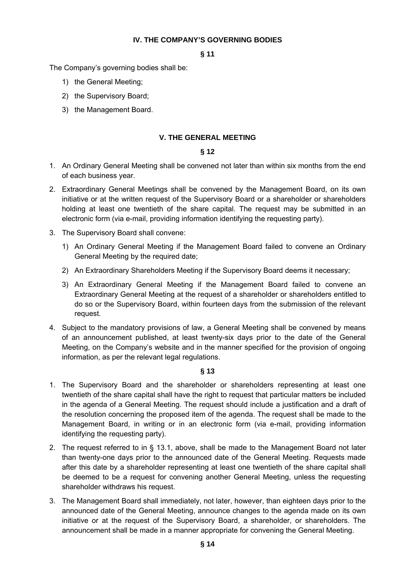### **IV. THE COMPANY'S GOVERNING BODIES**

#### **§ 11**

The Company's governing bodies shall be:

- 1) the General Meeting;
- 2) the Supervisory Board;
- 3) the Management Board.

# **V. THE GENERAL MEETING**

# **§ 12**

- 1. An Ordinary General Meeting shall be convened not later than within six months from the end of each business year.
- 2. Extraordinary General Meetings shall be convened by the Management Board, on its own initiative or at the written request of the Supervisory Board or a shareholder or shareholders holding at least one twentieth of the share capital. The request may be submitted in an electronic form (via e-mail, providing information identifying the requesting party).
- 3. The Supervisory Board shall convene:
	- 1) An Ordinary General Meeting if the Management Board failed to convene an Ordinary General Meeting by the required date;
	- 2) An Extraordinary Shareholders Meeting if the Supervisory Board deems it necessary;
	- 3) An Extraordinary General Meeting if the Management Board failed to convene an Extraordinary General Meeting at the request of a shareholder or shareholders entitled to do so or the Supervisory Board, within fourteen days from the submission of the relevant request.
- 4. Subject to the mandatory provisions of law, a General Meeting shall be convened by means of an announcement published, at least twenty-six days prior to the date of the General Meeting, on the Company's website and in the manner specified for the provision of ongoing information, as per the relevant legal regulations.

- 1. The Supervisory Board and the shareholder or shareholders representing at least one twentieth of the share capital shall have the right to request that particular matters be included in the agenda of a General Meeting. The request should include a justification and a draft of the resolution concerning the proposed item of the agenda. The request shall be made to the Management Board, in writing or in an electronic form (via e-mail, providing information identifying the requesting party).
- 2. The request referred to in § 13.1, above, shall be made to the Management Board not later than twenty-one days prior to the announced date of the General Meeting. Requests made after this date by a shareholder representing at least one twentieth of the share capital shall be deemed to be a request for convening another General Meeting, unless the requesting shareholder withdraws his request.
- 3. The Management Board shall immediately, not later, however, than eighteen days prior to the announced date of the General Meeting, announce changes to the agenda made on its own initiative or at the request of the Supervisory Board, a shareholder, or shareholders. The announcement shall be made in a manner appropriate for convening the General Meeting.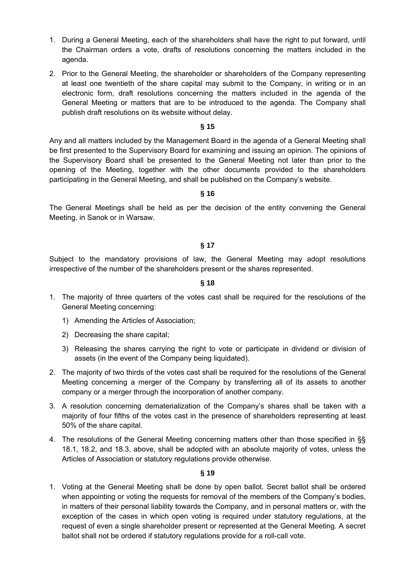- 1. During a General Meeting, each of the shareholders shall have the right to put forward, until the Chairman orders a vote, drafts of resolutions concerning the matters included in the agenda.
- 2. Prior to the General Meeting, the shareholder or shareholders of the Company representing at least one twentieth of the share capital may submit to the Company, in writing or in an electronic form, draft resolutions concerning the matters included in the agenda of the General Meeting or matters that are to be introduced to the agenda. The Company shall publish draft resolutions on its website without delay.

Any and all matters included by the Management Board in the agenda of a General Meeting shall be first presented to the Supervisory Board for examining and issuing an opinion. The opinions of the Supervisory Board shall be presented to the General Meeting not later than prior to the opening of the Meeting, together with the other documents provided to the shareholders participating in the General Meeting, and shall be published on the Company's website.

#### **§ 16**

The General Meetings shall be held as per the decision of the entity convening the General Meeting, in Sanok or in Warsaw.

#### **§ 17**

Subject to the mandatory provisions of law, the General Meeting may adopt resolutions irrespective of the number of the shareholders present or the shares represented.

#### **§ 18**

- 1. The majority of three quarters of the votes cast shall be required for the resolutions of the General Meeting concerning:
	- 1) Amending the Articles of Association;
	- 2) Decreasing the share capital;
	- 3) Releasing the shares carrying the right to vote or participate in dividend or division of assets (in the event of the Company being liquidated).
- 2. The majority of two thirds of the votes cast shall be required for the resolutions of the General Meeting concerning a merger of the Company by transferring all of its assets to another company or a merger through the incorporation of another company.
- 3. A resolution concerning dematerialization of the Company's shares shall be taken with a majority of four fifths of the votes cast in the presence of shareholders representing at least 50% of the share capital.
- 4. The resolutions of the General Meeting concerning matters other than those specified in §§ 18.1, 18.2, and 18.3, above, shall be adopted with an absolute majority of votes, unless the Articles of Association or statutory regulations provide otherwise.

### **§ 19**

1. Voting at the General Meeting shall be done by open ballot. Secret ballot shall be ordered when appointing or voting the requests for removal of the members of the Company's bodies, in matters of their personal liability towards the Company, and in personal matters or, with the exception of the cases in which open voting is required under statutory regulations, at the request of even a single shareholder present or represented at the General Meeting. A secret ballot shall not be ordered if statutory regulations provide for a roll-call vote.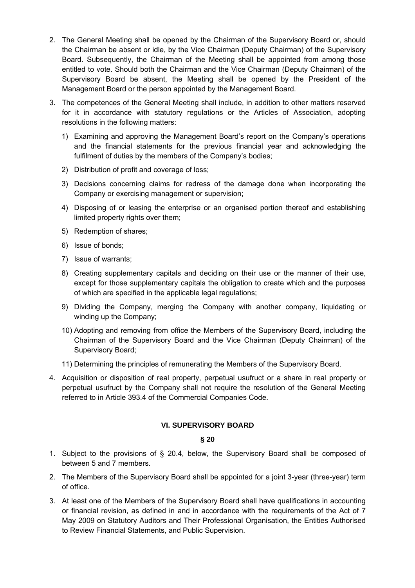- 2. The General Meeting shall be opened by the Chairman of the Supervisory Board or, should the Chairman be absent or idle, by the Vice Chairman (Deputy Chairman) of the Supervisory Board. Subsequently, the Chairman of the Meeting shall be appointed from among those entitled to vote. Should both the Chairman and the Vice Chairman (Deputy Chairman) of the Supervisory Board be absent, the Meeting shall be opened by the President of the Management Board or the person appointed by the Management Board.
- 3. The competences of the General Meeting shall include, in addition to other matters reserved for it in accordance with statutory regulations or the Articles of Association, adopting resolutions in the following matters:
	- 1) Examining and approving the Management Board's report on the Company's operations and the financial statements for the previous financial year and acknowledging the fulfilment of duties by the members of the Company's bodies;
	- 2) Distribution of profit and coverage of loss;
	- 3) Decisions concerning claims for redress of the damage done when incorporating the Company or exercising management or supervision;
	- 4) Disposing of or leasing the enterprise or an organised portion thereof and establishing limited property rights over them;
	- 5) Redemption of shares;
	- 6) Issue of bonds;
	- 7) Issue of warrants;
	- 8) Creating supplementary capitals and deciding on their use or the manner of their use, except for those supplementary capitals the obligation to create which and the purposes of which are specified in the applicable legal regulations;
	- 9) Dividing the Company, merging the Company with another company, liquidating or winding up the Company;
	- 10) Adopting and removing from office the Members of the Supervisory Board, including the Chairman of the Supervisory Board and the Vice Chairman (Deputy Chairman) of the Supervisory Board;
	- 11) Determining the principles of remunerating the Members of the Supervisory Board.
- 4. Acquisition or disposition of real property, perpetual usufruct or a share in real property or perpetual usufruct by the Company shall not require the resolution of the General Meeting referred to in Article 393.4 of the Commercial Companies Code.

# **VI. SUPERVISORY BOARD**

- 1. Subject to the provisions of § 20.4, below, the Supervisory Board shall be composed of between 5 and 7 members.
- 2. The Members of the Supervisory Board shall be appointed for a joint 3-year (three-year) term of office.
- 3. At least one of the Members of the Supervisory Board shall have qualifications in accounting or financial revision, as defined in and in accordance with the requirements of the Act of 7 May 2009 on Statutory Auditors and Their Professional Organisation, the Entities Authorised to Review Financial Statements, and Public Supervision.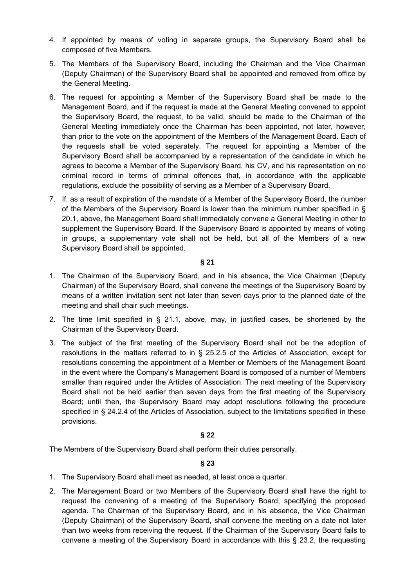- 4. If appointed by means of voting in separate groups, the Supervisory Board shall be composed of five Members.
- 5. The Members of the Supervisory Board, including the Chairman and the Vice Chairman (Deputy Chairman) of the Supervisory Board shall be appointed and removed from office by the General Meeting.
- 6. The request for appointing a Member of the Supervisory Board shall be made to the Management Board, and if the request is made at the General Meeting convened to appoint the Supervisory Board, the request, to be valid, should be made to the Chairman of the General Meeting immediately once the Chairman has been appointed, not later, however, than prior to the vote on the appointment of the Members of the Management Board. Each of the requests shall be voted separately. The request for appointing a Member of the Supervisory Board shall be accompanied by a representation of the candidate in which he agrees to become a Member of the Supervisory Board, his CV, and his representation on no criminal record in terms of criminal offences that, in accordance with the applicable regulations, exclude the possibility of serving as a Member of a Supervisory Board.
- 7. If, as a result of expiration of the mandate of a Member of the Supervisory Board, the number of the Members of the Supervisory Board is lower than the minimum number specified in § 20.1, above, the Management Board shall immediately convene a General Meeting in other to supplement the Supervisory Board. If the Supervisory Board is appointed by means of voting in groups, a supplementary vote shall not be held, but all of the Members of a new Supervisory Board shall be appointed.

- 1. The Chairman of the Supervisory Board, and in his absence, the Vice Chairman (Deputy Chairman) of the Supervisory Board, shall convene the meetings of the Supervisory Board by means of a written invitation sent not later than seven days prior to the planned date of the meeting and shall chair such meetings.
- 2. The time limit specified in § 21.1, above, may, in justified cases, be shortened by the Chairman of the Supervisory Board.
- 3. The subject of the first meeting of the Supervisory Board shall not be the adoption of resolutions in the matters referred to in § 25.2.5 of the Articles of Association, except for resolutions concerning the appointment of a Member or Members of the Management Board in the event where the Company's Management Board is composed of a number of Members smaller than required under the Articles of Association. The next meeting of the Supervisory Board shall not be held earlier than seven days from the first meeting of the Supervisory Board; until then, the Supervisory Board may adopt resolutions following the procedure specified in § 24.2.4 of the Articles of Association, subject to the limitations specified in these provisions.

# **§ 22**

The Members of the Supervisory Board shall perform their duties personally.

- 1. The Supervisory Board shall meet as needed, at least once a quarter.
- 2. The Management Board or two Members of the Supervisory Board shall have the right to request the convening of a meeting of the Supervisory Board, specifying the proposed agenda. The Chairman of the Supervisory Board, and in his absence, the Vice Chairman (Deputy Chairman) of the Supervisory Board, shall convene the meeting on a date not later than two weeks from receiving the request. If the Chairman of the Supervisory Board fails to convene a meeting of the Supervisory Board in accordance with this § 23.2, the requesting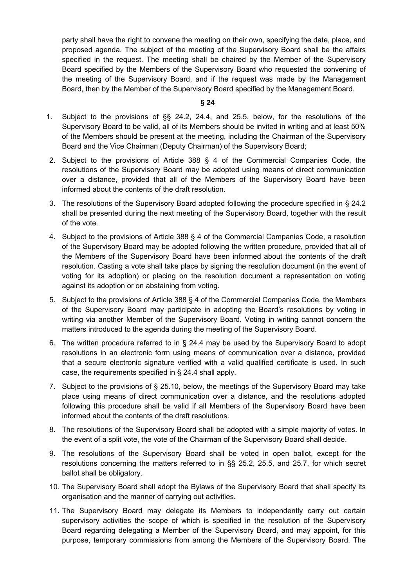party shall have the right to convene the meeting on their own, specifying the date, place, and proposed agenda. The subject of the meeting of the Supervisory Board shall be the affairs specified in the request. The meeting shall be chaired by the Member of the Supervisory Board specified by the Members of the Supervisory Board who requested the convening of the meeting of the Supervisory Board, and if the request was made by the Management Board, then by the Member of the Supervisory Board specified by the Management Board.

- 1. Subject to the provisions of §§ 24.2, 24.4, and 25.5, below, for the resolutions of the Supervisory Board to be valid, all of its Members should be invited in writing and at least 50% of the Members should be present at the meeting, including the Chairman of the Supervisory Board and the Vice Chairman (Deputy Chairman) of the Supervisory Board;
- 2. Subject to the provisions of Article 388 § 4 of the Commercial Companies Code, the resolutions of the Supervisory Board may be adopted using means of direct communication over a distance, provided that all of the Members of the Supervisory Board have been informed about the contents of the draft resolution.
- 3. The resolutions of the Supervisory Board adopted following the procedure specified in § 24.2 shall be presented during the next meeting of the Supervisory Board, together with the result of the vote.
- 4. Subject to the provisions of Article 388 § 4 of the Commercial Companies Code, a resolution of the Supervisory Board may be adopted following the written procedure, provided that all of the Members of the Supervisory Board have been informed about the contents of the draft resolution. Casting a vote shall take place by signing the resolution document (in the event of voting for its adoption) or placing on the resolution document a representation on voting against its adoption or on abstaining from voting.
- 5. Subject to the provisions of Article 388 § 4 of the Commercial Companies Code, the Members of the Supervisory Board may participate in adopting the Board's resolutions by voting in writing via another Member of the Supervisory Board. Voting in writing cannot concern the matters introduced to the agenda during the meeting of the Supervisory Board.
- 6. The written procedure referred to in § 24.4 may be used by the Supervisory Board to adopt resolutions in an electronic form using means of communication over a distance, provided that a secure electronic signature verified with a valid qualified certificate is used. In such case, the requirements specified in § 24.4 shall apply.
- 7. Subject to the provisions of § 25.10, below, the meetings of the Supervisory Board may take place using means of direct communication over a distance, and the resolutions adopted following this procedure shall be valid if all Members of the Supervisory Board have been informed about the contents of the draft resolutions.
- 8. The resolutions of the Supervisory Board shall be adopted with a simple majority of votes. In the event of a split vote, the vote of the Chairman of the Supervisory Board shall decide.
- 9. The resolutions of the Supervisory Board shall be voted in open ballot, except for the resolutions concerning the matters referred to in §§ 25.2, 25.5, and 25.7, for which secret ballot shall be obligatory.
- 10. The Supervisory Board shall adopt the Bylaws of the Supervisory Board that shall specify its organisation and the manner of carrying out activities.
- 11. The Supervisory Board may delegate its Members to independently carry out certain supervisory activities the scope of which is specified in the resolution of the Supervisory Board regarding delegating a Member of the Supervisory Board, and may appoint, for this purpose, temporary commissions from among the Members of the Supervisory Board. The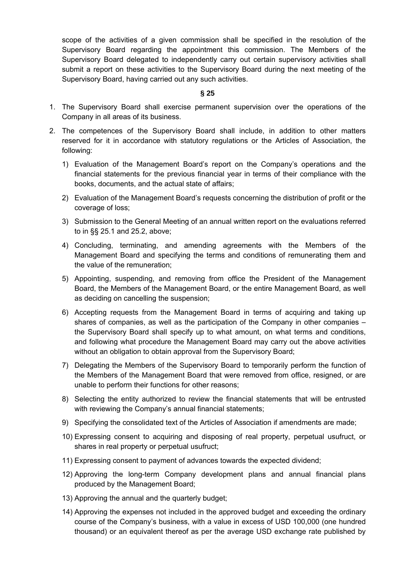scope of the activities of a given commission shall be specified in the resolution of the Supervisory Board regarding the appointment this commission. The Members of the Supervisory Board delegated to independently carry out certain supervisory activities shall submit a report on these activities to the Supervisory Board during the next meeting of the Supervisory Board, having carried out any such activities.

- 1. The Supervisory Board shall exercise permanent supervision over the operations of the Company in all areas of its business.
- 2. The competences of the Supervisory Board shall include, in addition to other matters reserved for it in accordance with statutory regulations or the Articles of Association, the following:
	- 1) Evaluation of the Management Board's report on the Company's operations and the financial statements for the previous financial year in terms of their compliance with the books, documents, and the actual state of affairs;
	- 2) Evaluation of the Management Board's requests concerning the distribution of profit or the coverage of loss;
	- 3) Submission to the General Meeting of an annual written report on the evaluations referred to in §§ 25.1 and 25.2, above;
	- 4) Concluding, terminating, and amending agreements with the Members of the Management Board and specifying the terms and conditions of remunerating them and the value of the remuneration;
	- 5) Appointing, suspending, and removing from office the President of the Management Board, the Members of the Management Board, or the entire Management Board, as well as deciding on cancelling the suspension;
	- 6) Accepting requests from the Management Board in terms of acquiring and taking up shares of companies, as well as the participation of the Company in other companies – the Supervisory Board shall specify up to what amount, on what terms and conditions, and following what procedure the Management Board may carry out the above activities without an obligation to obtain approval from the Supervisory Board;
	- 7) Delegating the Members of the Supervisory Board to temporarily perform the function of the Members of the Management Board that were removed from office, resigned, or are unable to perform their functions for other reasons;
	- 8) Selecting the entity authorized to review the financial statements that will be entrusted with reviewing the Company's annual financial statements;
	- 9) Specifying the consolidated text of the Articles of Association if amendments are made;
	- 10) Expressing consent to acquiring and disposing of real property, perpetual usufruct, or shares in real property or perpetual usufruct;
	- 11) Expressing consent to payment of advances towards the expected dividend;
	- 12) Approving the long-term Company development plans and annual financial plans produced by the Management Board;
	- 13) Approving the annual and the quarterly budget;
	- 14) Approving the expenses not included in the approved budget and exceeding the ordinary course of the Company's business, with a value in excess of USD 100,000 (one hundred thousand) or an equivalent thereof as per the average USD exchange rate published by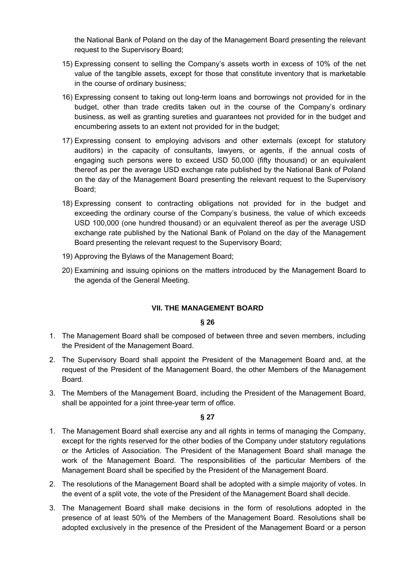the National Bank of Poland on the day of the Management Board presenting the relevant request to the Supervisory Board;

- 15) Expressing consent to selling the Company's assets worth in excess of 10% of the net value of the tangible assets, except for those that constitute inventory that is marketable in the course of ordinary business;
- 16) Expressing consent to taking out long-term loans and borrowings not provided for in the budget, other than trade credits taken out in the course of the Company's ordinary business, as well as granting sureties and guarantees not provided for in the budget and encumbering assets to an extent not provided for in the budget;
- 17) Expressing consent to employing advisors and other externals (except for statutory auditors) in the capacity of consultants, lawyers, or agents, if the annual costs of engaging such persons were to exceed USD 50,000 (fifty thousand) or an equivalent thereof as per the average USD exchange rate published by the National Bank of Poland on the day of the Management Board presenting the relevant request to the Supervisory Board;
- 18) Expressing consent to contracting obligations not provided for in the budget and exceeding the ordinary course of the Company's business, the value of which exceeds USD 100,000 (one hundred thousand) or an equivalent thereof as per the average USD exchange rate published by the National Bank of Poland on the day of the Management Board presenting the relevant request to the Supervisory Board;
- 19) Approving the Bylaws of the Management Board;
- 20) Examining and issuing opinions on the matters introduced by the Management Board to the agenda of the General Meeting.

# **VII. THE MANAGEMENT BOARD**

#### **§ 26**

- 1. The Management Board shall be composed of between three and seven members, including the President of the Management Board.
- 2. The Supervisory Board shall appoint the President of the Management Board and, at the request of the President of the Management Board, the other Members of the Management Board.
- 3. The Members of the Management Board, including the President of the Management Board, shall be appointed for a joint three-year term of office.

- 1. The Management Board shall exercise any and all rights in terms of managing the Company, except for the rights reserved for the other bodies of the Company under statutory regulations or the Articles of Association. The President of the Management Board shall manage the work of the Management Board. The responsibilities of the particular Members of the Management Board shall be specified by the President of the Management Board.
- 2. The resolutions of the Management Board shall be adopted with a simple majority of votes. In the event of a split vote, the vote of the President of the Management Board shall decide.
- 3. The Management Board shall make decisions in the form of resolutions adopted in the presence of at least 50% of the Members of the Management Board. Resolutions shall be adopted exclusively in the presence of the President of the Management Board or a person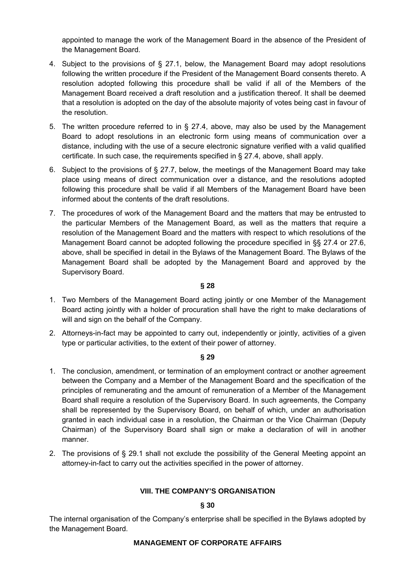appointed to manage the work of the Management Board in the absence of the President of the Management Board.

- 4. Subject to the provisions of § 27.1, below, the Management Board may adopt resolutions following the written procedure if the President of the Management Board consents thereto. A resolution adopted following this procedure shall be valid if all of the Members of the Management Board received a draft resolution and a justification thereof. It shall be deemed that a resolution is adopted on the day of the absolute majority of votes being cast in favour of the resolution.
- 5. The written procedure referred to in § 27.4, above, may also be used by the Management Board to adopt resolutions in an electronic form using means of communication over a distance, including with the use of a secure electronic signature verified with a valid qualified certificate. In such case, the requirements specified in § 27.4, above, shall apply.
- 6. Subject to the provisions of § 27.7, below, the meetings of the Management Board may take place using means of direct communication over a distance, and the resolutions adopted following this procedure shall be valid if all Members of the Management Board have been informed about the contents of the draft resolutions.
- 7. The procedures of work of the Management Board and the matters that may be entrusted to the particular Members of the Management Board, as well as the matters that require a resolution of the Management Board and the matters with respect to which resolutions of the Management Board cannot be adopted following the procedure specified in §§ 27.4 or 27.6, above, shall be specified in detail in the Bylaws of the Management Board. The Bylaws of the Management Board shall be adopted by the Management Board and approved by the Supervisory Board.

# **§ 28**

- 1. Two Members of the Management Board acting jointly or one Member of the Management Board acting jointly with a holder of procuration shall have the right to make declarations of will and sign on the behalf of the Company.
- 2. Attorneys-in-fact may be appointed to carry out, independently or jointly, activities of a given type or particular activities, to the extent of their power of attorney.

# **§ 29**

- 1. The conclusion, amendment, or termination of an employment contract or another agreement between the Company and a Member of the Management Board and the specification of the principles of remunerating and the amount of remuneration of a Member of the Management Board shall require a resolution of the Supervisory Board. In such agreements, the Company shall be represented by the Supervisory Board, on behalf of which, under an authorisation granted in each individual case in a resolution, the Chairman or the Vice Chairman (Deputy Chairman) of the Supervisory Board shall sign or make a declaration of will in another manner.
- 2. The provisions of § 29.1 shall not exclude the possibility of the General Meeting appoint an attorney-in-fact to carry out the activities specified in the power of attorney.

# **VIII. THE COMPANY'S ORGANISATION**

#### **§ 30**

The internal organisation of the Company's enterprise shall be specified in the Bylaws adopted by the Management Board.

#### **MANAGEMENT OF CORPORATE AFFAIRS**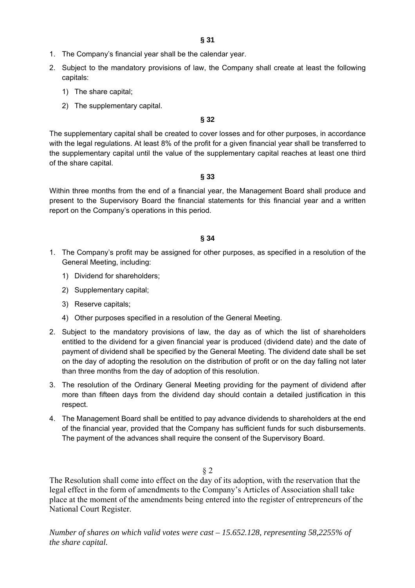- 1. The Company's financial year shall be the calendar year.
- 2. Subject to the mandatory provisions of law, the Company shall create at least the following capitals:
	- 1) The share capital;
	- 2) The supplementary capital.

The supplementary capital shall be created to cover losses and for other purposes, in accordance with the legal regulations. At least 8% of the profit for a given financial year shall be transferred to the supplementary capital until the value of the supplementary capital reaches at least one third of the share capital.

**§ 33** 

Within three months from the end of a financial year, the Management Board shall produce and present to the Supervisory Board the financial statements for this financial year and a written report on the Company's operations in this period.

### **§ 34**

- 1. The Company's profit may be assigned for other purposes, as specified in a resolution of the General Meeting, including:
	- 1) Dividend for shareholders;
	- 2) Supplementary capital;
	- 3) Reserve capitals;
	- 4) Other purposes specified in a resolution of the General Meeting.
- 2. Subject to the mandatory provisions of law, the day as of which the list of shareholders entitled to the dividend for a given financial year is produced (dividend date) and the date of payment of dividend shall be specified by the General Meeting. The dividend date shall be set on the day of adopting the resolution on the distribution of profit or on the day falling not later than three months from the day of adoption of this resolution.
- 3. The resolution of the Ordinary General Meeting providing for the payment of dividend after more than fifteen days from the dividend day should contain a detailed justification in this respect.
- 4. The Management Board shall be entitled to pay advance dividends to shareholders at the end of the financial year, provided that the Company has sufficient funds for such disbursements. The payment of the advances shall require the consent of the Supervisory Board.

§ 2

The Resolution shall come into effect on the day of its adoption, with the reservation that the legal effect in the form of amendments to the Company's Articles of Association shall take place at the moment of the amendments being entered into the register of entrepreneurs of the National Court Register.

*Number of shares on which valid votes were cast – 15.652.128, representing 58,2255% of the share capital.*